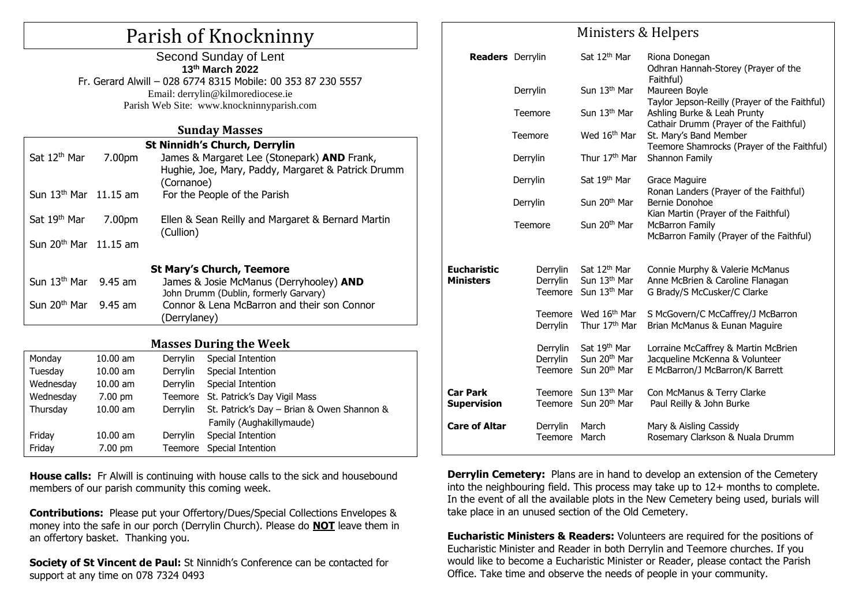## Parish of Knockninny Second Sunday of Lent

| Second Sunday of Lent                                        |  |
|--------------------------------------------------------------|--|
| 13th March 2022                                              |  |
| Fr. Gerard Alwill - 028 6774 8315 Mobile: 00 353 87 230 5557 |  |
| Email: derrylin@kilmorediocese.ie                            |  |
| Parish Web Site: www.knockninnyparish.com                    |  |
|                                                              |  |

### **Sunday Masses**

| Sat 12 <sup>th</sup> Mar         | 7.00pm | <b>St Ninnidh's Church, Derrylin</b><br>James & Margaret Lee (Stonepark) AND Frank,<br>Hughie, Joe, Mary, Paddy, Margaret & Patrick Drumm<br>(Cornanoe) |  |  |  |  |  |
|----------------------------------|--------|---------------------------------------------------------------------------------------------------------------------------------------------------------|--|--|--|--|--|
| Sun $13th$ Mar $11.15$ am        |        | For the People of the Parish                                                                                                                            |  |  |  |  |  |
| Sat 19 <sup>th</sup> Mar         | 7.00pm | Ellen & Sean Reilly and Margaret & Bernard Martin<br>(Cullion)                                                                                          |  |  |  |  |  |
| Sun $20th$ Mar 11.15 am          |        |                                                                                                                                                         |  |  |  |  |  |
| <b>St Mary's Church, Teemore</b> |        |                                                                                                                                                         |  |  |  |  |  |
| Sun $13th$ Mar 9.45 am           |        | James & Josie McManus (Derryhooley) AND<br>John Drumm (Dublin, formerly Garvary)                                                                        |  |  |  |  |  |
| Sun $20th$ Mar 9.45 am           |        | Connor & Lena McBarron and their son Connor<br>(Derrylaney)                                                                                             |  |  |  |  |  |

## **Masses During the Week**

| Monday    | $10.00$ am        | Derrylin | Special Intention                          |  |
|-----------|-------------------|----------|--------------------------------------------|--|
| Tuesday   | $10.00$ am        | Derrylin | Special Intention                          |  |
| Wednesday | $10.00$ am        | Derrylin | Special Intention                          |  |
| Wednesday | $7.00 \text{ pm}$ |          | Teemore St. Patrick's Day Vigil Mass       |  |
| Thursday  | $10.00$ am        | Derrylin | St. Patrick's Day - Brian & Owen Shannon & |  |
|           |                   |          | Family (Aughakillymaude)                   |  |
| Friday    | $10.00$ am        | Derrylin | Special Intention                          |  |
| Friday    | $7.00 \text{ pm}$ | Teemore  | Special Intention                          |  |
|           |                   |          |                                            |  |

**House calls:** Fr Alwill is continuing with house calls to the sick and housebound members of our parish community this coming week.

**Contributions:** Please put your Offertory/Dues/Special Collections Envelopes & money into the safe in our porch (Derrylin Church). Please do **NOT** leave them in an offertory basket. Thanking you.

**Society of St Vincent de Paul:** St Ninnidh's Conference can be contacted for support at any time on 078 7324 0493

|                                        | rumotero ex ricipero            |                                                                                  |                                                                                                                        |  |  |  |
|----------------------------------------|---------------------------------|----------------------------------------------------------------------------------|------------------------------------------------------------------------------------------------------------------------|--|--|--|
| <b>Readers</b> Derrylin                |                                 | Sat 12 <sup>th</sup> Mar                                                         | Riona Donegan<br>Odhran Hannah-Storey (Prayer of the                                                                   |  |  |  |
|                                        | Derrylin                        | Sun 13 <sup>th</sup> Mar                                                         | Faithful)<br>Maureen Boyle                                                                                             |  |  |  |
|                                        | Teemore                         | Sun 13 <sup>th</sup> Mar                                                         | Taylor Jepson-Reilly (Prayer of the Faithful)<br>Ashling Burke & Leah Prunty<br>Cathair Drumm (Prayer of the Faithful) |  |  |  |
|                                        | Teemore                         | Wed 16 <sup>th</sup> Mar                                                         | St. Mary's Band Member<br>Teemore Shamrocks (Prayer of the Faithful)                                                   |  |  |  |
|                                        | Derrylin                        | Thur 17 <sup>th</sup> Mar                                                        | Shannon Family                                                                                                         |  |  |  |
|                                        | Derrylin                        | Sat 19 <sup>th</sup> Mar                                                         | Grace Maguire<br>Ronan Landers (Prayer of the Faithful)                                                                |  |  |  |
|                                        | Derrylin                        | Sun 20 <sup>th</sup> Mar                                                         | Bernie Donohoe<br>Kian Martin (Prayer of the Faithful)                                                                 |  |  |  |
|                                        | Teemore                         | Sun 20 <sup>th</sup> Mar                                                         | <b>McBarron Family</b><br>McBarron Family (Prayer of the Faithful)                                                     |  |  |  |
| <b>Eucharistic</b><br><b>Ministers</b> | Derrylin<br>Derrylin<br>Teemore | Sat 12 <sup>th</sup> Mar<br>Sun 13 <sup>th</sup> Mar<br>Sun 13 <sup>th</sup> Mar | Connie Murphy & Valerie McManus<br>Anne McBrien & Caroline Flanagan<br>G Brady/S McCusker/C Clarke                     |  |  |  |
|                                        | Derrylin                        | Teemore Wed 16 <sup>th</sup> Mar<br>Thur 17 <sup>th</sup> Mar                    | S McGovern/C McCaffrey/J McBarron<br>Brian McManus & Eunan Maguire                                                     |  |  |  |
|                                        | Derrylin<br>Derrylin<br>Teemore | Sat 19 <sup>th</sup> Mar<br>Sun 20 <sup>th</sup> Mar<br>Sun 20 <sup>th</sup> Mar | Lorraine McCaffrey & Martin McBrien<br>Jacqueline McKenna & Volunteer<br>E McBarron/J McBarron/K Barrett               |  |  |  |
| <b>Car Park</b><br><b>Supervision</b>  |                                 | Teemore Sun 13th Mar<br>Teemore Sun 20 <sup>th</sup> Mar                         | Con McManus & Terry Clarke<br>Paul Reilly & John Burke                                                                 |  |  |  |
| <b>Care of Altar</b>                   | Derrylin<br>Teemore             | March<br>March                                                                   | Mary & Aisling Cassidy<br>Rosemary Clarkson & Nuala Drumm                                                              |  |  |  |

Ministors & Holpers

**Derrylin Cemetery:** Plans are in hand to develop an extension of the Cemetery into the neighbouring field. This process may take up to 12+ months to complete. In the event of all the available plots in the New Cemetery being used, burials will take place in an unused section of the Old Cemetery.

**Eucharistic Ministers & Readers:** Volunteers are required for the positions of Eucharistic Minister and Reader in both Derrylin and Teemore churches. If you would like to become a Eucharistic Minister or Reader, please contact the Parish Office. Take time and observe the needs of people in your community.